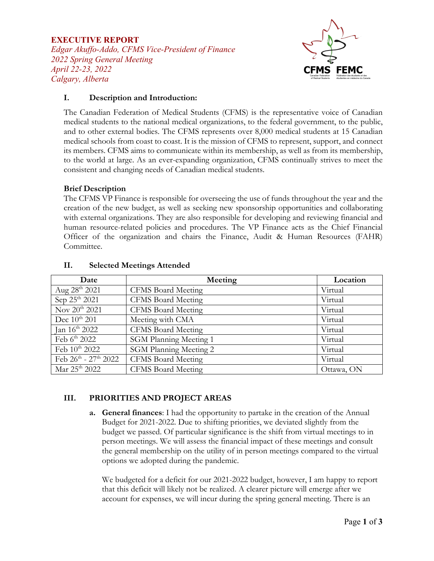### **EXECUTIVE REPORT**

*Edgar Akuffo-Addo, CFMS Vice-President of Finance 2022 Spring General Meeting April 22-23, 2022 Calgary, Alberta*



## **I. Description and Introduction:**

The Canadian Federation of Medical Students (CFMS) is the representative voice of Canadian medical students to the national medical organizations, to the federal government, to the public, and to other external bodies. The CFMS represents over 8,000 medical students at 15 Canadian medical schools from coast to coast. It is the mission of CFMS to represent, support, and connect its members. CFMS aims to communicate within its membership, as well as from its membership, to the world at large. As an ever-expanding organization, CFMS continually strives to meet the consistent and changing needs of Canadian medical students.

#### **Brief Description**

The CFMS VP Finance is responsible for overseeing the use of funds throughout the year and the creation of the new budget, as well as seeking new sponsorship opportunities and collaborating with external organizations. They are also responsible for developing and reviewing financial and human resource-related policies and procedures. The VP Finance acts as the Chief Financial Officer of the organization and chairs the Finance, Audit & Human Resources (FAHR) Committee.

| Date                           | Meeting                       | Location   |
|--------------------------------|-------------------------------|------------|
| Aug $28^{th}$ 2021             | <b>CFMS</b> Board Meeting     | Virtual    |
| Sep 25 <sup>th</sup> 2021      | <b>CFMS</b> Board Meeting     | Virtual    |
| Nov 20 <sup>th</sup> 2021      | <b>CFMS</b> Board Meeting     | Virtual    |
| Dec $10^{th}$ 201              | Meeting with CMA              | Virtual    |
| Jan $16^{th}$ 2022             | <b>CFMS</b> Board Meeting     | Virtual    |
| Feb 6th 2022                   | <b>SGM Planning Meeting 1</b> | Virtual    |
| Feb $10^{th}$ 2022             | <b>SGM Planning Meeting 2</b> | Virtual    |
| Feb $26^{th}$ - $27^{th}$ 2022 | <b>CFMS Board Meeting</b>     | Virtual    |
| Mar 25 <sup>th</sup> 2022      | <b>CFMS</b> Board Meeting     | Ottawa, ON |

#### **II. Selected Meetings Attended**

# **III. PRIORITIES AND PROJECT AREAS**

**a. General finances**: I had the opportunity to partake in the creation of the Annual Budget for 2021-2022. Due to shifting priorities, we deviated slightly from the budget we passed. Of particular significance is the shift from virtual meetings to in person meetings. We will assess the financial impact of these meetings and consult the general membership on the utility of in person meetings compared to the virtual options we adopted during the pandemic.

We budgeted for a deficit for our 2021-2022 budget, however, I am happy to report that this deficit will likely not be realized. A clearer picture will emerge after we account for expenses, we will incur during the spring general meeting. There is an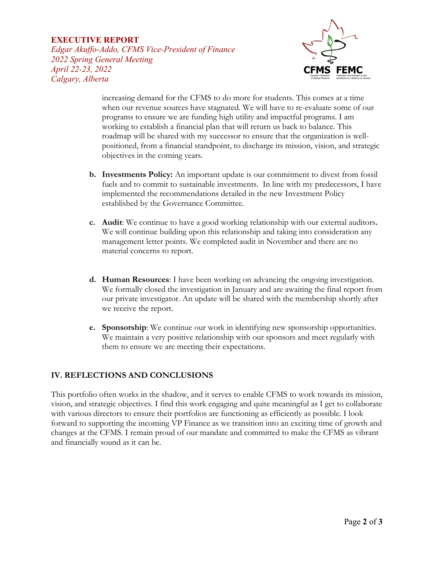### **EXECUTIVE REPORT**

*Edgar Akuffo-Addo, CFMS Vice-President of Finance 2022 Spring General Meeting April 22-23, 2022 Calgary, Alberta*



increasing demand for the CFMS to do more for students. This comes at a time when our revenue sources have stagnated. We will have to re-evaluate some of our programs to ensure we are funding high utility and impactful programs. I am working to establish a financial plan that will return us back to balance. This roadmap will be shared with my successor to ensure that the organization is wellpositioned, from a financial standpoint, to discharge its mission, vision, and strategic objectives in the coming years.

- **b. Investments Policy:** An important update is our commitment to divest from fossil fuels and to commit to sustainable investments. In line with my predecessors, I have implemented the recommendations detailed in the new Investment Policy established by the Governance Committee.
- **c. Audit**: We continue to have a good working relationship with our external auditors**.** We will continue building upon this relationship and taking into consideration any management letter points. We completed audit in November and there are no material concerns to report.
- **d. Human Resources**: I have been working on advancing the ongoing investigation. We formally closed the investigation in January and are awaiting the final report from our private investigator. An update will be shared with the membership shortly after we receive the report.
- **e. Sponsorship**: We continue our work in identifying new sponsorship opportunities. We maintain a very positive relationship with our sponsors and meet regularly with them to ensure we are meeting their expectations.

# **IV. REFLECTIONS AND CONCLUSIONS**

This portfolio often works in the shadow, and it serves to enable CFMS to work towards its mission, vision, and strategic objectives. I find this work engaging and quite meaningful as I get to collaborate with various directors to ensure their portfolios are functioning as efficiently as possible. I look forward to supporting the incoming VP Finance as we transition into an exciting time of growth and changes at the CFMS. I remain proud of our mandate and committed to make the CFMS as vibrant and financially sound as it can be.